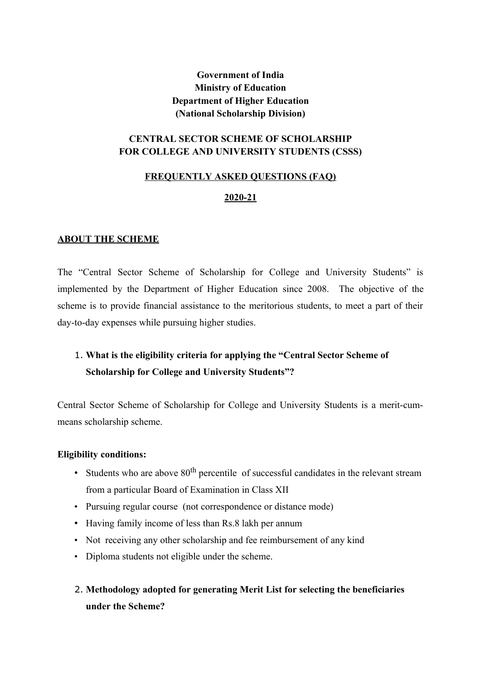## **Government of India Ministry of Education Department of Higher Education (National Scholarship Division)**

## **CENTRAL SECTOR SCHEME OF SCHOLARSHIP FOR COLLEGE AND UNIVERSITY STUDENTS (CSSS)**

### **FREQUENTLY ASKED QUESTIONS (FAQ)**

#### **2020-21**

### **ABOUT THE SCHEME**

The "Central Sector Scheme of Scholarship for College and University Students" is implemented by the Department of Higher Education since 2008. The objective of the scheme is to provide financial assistance to the meritorious students, to meet a part of their day-to-day expenses while pursuing higher studies.

# 1. **What is the eligibility criteria for applying the "Central Sector Scheme of Scholarship for College and University Students"?**

Central Sector Scheme of Scholarship for College and University Students is a merit-cummeans scholarship scheme.

#### **Eligibility conditions:**

- Students who are above  $80<sup>th</sup>$  percentile of successful candidates in the relevant stream from a particular Board of Examination in Class XII
- Pursuing regular course (not correspondence or distance mode)
- Having family income of less than Rs.8 lakh per annum
- Not receiving any other scholarship and fee reimbursement of any kind
- Diploma students not eligible under the scheme.
- 2. **Methodology adopted for generating Merit List for selecting the beneficiaries under the Scheme?**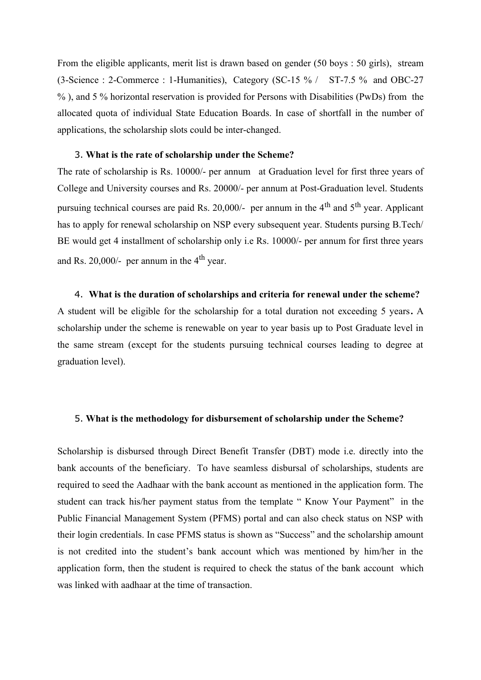From the eligible applicants, merit list is drawn based on gender (50 boys : 50 girls), stream (3-Science : 2-Commerce : 1-Humanities), Category (SC-15 % / ST-7.5 % and OBC-27 % ), and 5 % horizontal reservation is provided for Persons with Disabilities (PwDs) from the allocated quota of individual State Education Boards. In case of shortfall in the number of applications, the scholarship slots could be inter-changed.

#### 3. **What is the rate of scholarship under the Scheme?**

The rate of scholarship is Rs. 10000/- per annum at Graduation level for first three years of College and University courses and Rs. 20000/- per annum at Post-Graduation level. Students pursuing technical courses are paid Rs. 20,000/- per annum in the 4<sup>th</sup> and 5<sup>th</sup> year. Applicant has to apply for renewal scholarship on NSP every subsequent year. Students pursing B.Tech/ BE would get 4 installment of scholarship only i.e Rs. 10000/- per annum for first three years and Rs. 20,000/- per annum in the  $4<sup>th</sup>$  year.

#### 4. **What is the duration of scholarships and criteria for renewal under the scheme?**

A student will be eligible for the scholarship for a total duration not exceeding 5 years**.** A scholarship under the scheme is renewable on year to year basis up to Post Graduate level in the same stream (except for the students pursuing technical courses leading to degree at graduation level).

#### 5. **What is the methodology for disbursement of scholarship under the Scheme?**

Scholarship is disbursed through Direct Benefit Transfer (DBT) mode i.e. directly into the bank accounts of the beneficiary. To have seamless disbursal of scholarships, students are required to seed the Aadhaar with the bank account as mentioned in the application form. The student can track his/her payment status from the template " Know Your Payment" in the Public Financial Management System (PFMS) portal and can also check status on NSP with their login credentials. In case PFMS status is shown as "Success" and the scholarship amount is not credited into the student's bank account which was mentioned by him/her in the application form, then the student is required to check the status of the bank account which was linked with aadhaar at the time of transaction.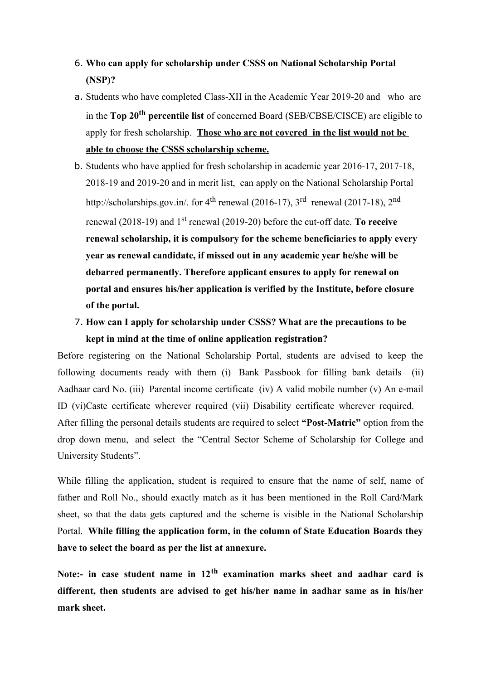- 6. **Who can apply for scholarship under CSSS on National Scholarship Portal (NSP)?**
- a. Students who have completed Class-XII in the Academic Year 2019-20 and who are in the **Top 20th percentile list** of concerned Board (SEB/CBSE/CISCE) are eligible to apply for fresh scholarship. **Those who are not covered in the list would not be able to choose the CSSS scholarship scheme.**
- b. Students who have applied for fresh scholarship in academic year 2016-17, 2017-18, 2018-19 and 2019-20 and in merit list, can apply on the National Scholarship Portal http://scholarships.gov.in/. for  $4<sup>th</sup>$  renewal (2016-17),  $3<sup>rd</sup>$  renewal (2017-18),  $2<sup>nd</sup>$ renewal (2018-19) and 1st renewal (2019-20) before the cut-off date. **To receive renewal scholarship, it is compulsory for the scheme beneficiaries to apply every year as renewal candidate, if missed out in any academic year he/she will be debarred permanently. Therefore applicant ensures to apply for renewal on portal and ensures his/her application is verified by the Institute, before closure of the portal.**
- 7. **How can I apply for scholarship under CSSS? What are the precautions to be kept in mind at the time of online application registration?**

Before registering on the National Scholarship Portal, students are advised to keep the following documents ready with them (i) Bank Passbook for filling bank details (ii) Aadhaar card No. (iii) Parental income certificate (iv) A valid mobile number (v) An e-mail ID (vi)Caste certificate wherever required (vii) Disability certificate wherever required. After filling the personal details students are required to select **"Post-Matric"** option from the drop down menu, and select the "Central Sector Scheme of Scholarship for College and University Students".

While filling the application, student is required to ensure that the name of self, name of father and Roll No., should exactly match as it has been mentioned in the Roll Card/Mark sheet, so that the data gets captured and the scheme is visible in the National Scholarship Portal. **While filling the application form, in the column of State Education Boards they have to select the board as per the list at annexure.**

**Note:- in case student name in 12th examination marks sheet and aadhar card is different, then students are advised to get his/her name in aadhar same as in his/her mark sheet.**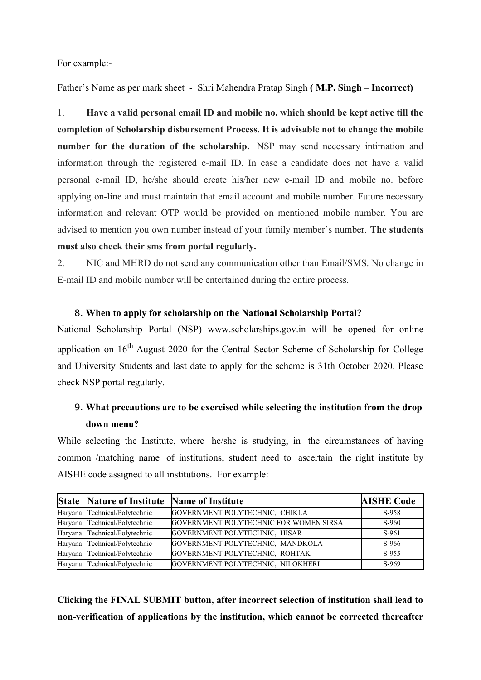For example:-

Father's Name as per mark sheet - Shri Mahendra Pratap Singh **( M.P. Singh – Incorrect)**

1. **Have a valid personal email ID and mobile no. which should be kept active till the completion of Scholarship disbursement Process. It is advisable not to change the mobile number for the duration of the scholarship.** NSP may send necessary intimation and information through the registered e-mail ID. In case a candidate does not have a valid personal e-mail ID, he/she should create his/her new e-mail ID and mobile no. before applying on-line and must maintain that email account and mobile number. Future necessary information and relevant OTP would be provided on mentioned mobile number. You are advised to mention you own number instead of your family member's number. **The students must also check their sms from portal regularly.**

2. NIC and MHRD do not send any communication other than Email/SMS. No change in E-mail ID and mobile number will be entertained during the entire process.

#### 8. **When to apply for scholarship on the National Scholarship Portal?**

National Scholarship Portal (NSP) www.scholarships.gov.in will be opened for online application on 16<sup>th</sup>-August 2020 for the Central Sector Scheme of Scholarship for College and University Students and last date to apply for the scheme is 31th October 2020. Please check NSP portal regularly.

## 9. **What precautions are to be exercised while selecting the institution from the drop down menu?**

While selecting the Institute, where he/she is studying, in the circumstances of having common /matching name of institutions, student need to ascertain the right institute by AISHE code assigned to all institutions. For example:

| <b>State Nature of Institute Name of Institute</b> |                                        | <b>AISHE Code</b> |
|----------------------------------------------------|----------------------------------------|-------------------|
| Haryana Technical/Polytechnic                      | GOVERNMENT POLYTECHNIC, CHIKLA         | S-958             |
| Haryana Technical/Polytechnic                      | GOVERNMENT POLYTECHNIC FOR WOMEN SIRSA | S-960             |
| Haryana Technical/Polytechnic                      | GOVERNMENT POLYTECHNIC, HISAR          | S-961             |
| Haryana Technical/Polytechnic                      | GOVERNMENT POLYTECHNIC, MANDKOLA       | S-966             |
| Haryana Technical/Polytechnic                      | GOVERNMENT POLYTECHNIC, ROHTAK         | S-955             |
| Haryana Technical/Polytechnic                      | GOVERNMENT POLYTECHNIC, NILOKHERI      | S-969             |

**Clicking the FINAL SUBMIT button, after incorrect selection of institution shall lead to non-verification of applications by the institution, which cannot be corrected thereafter**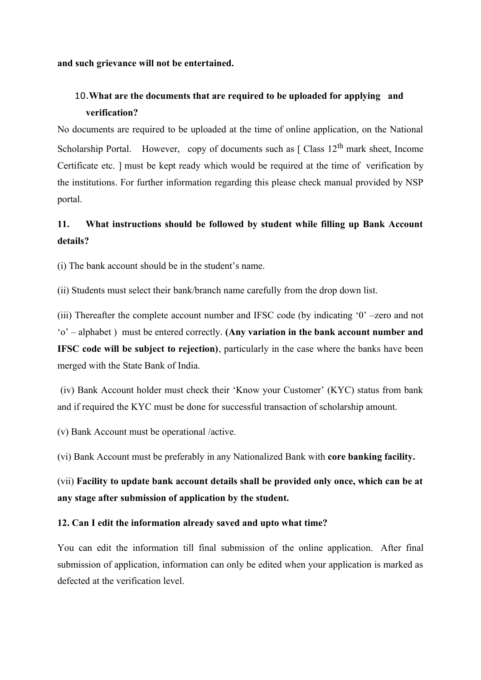#### **and such grievance will not be entertained.**

## 10.**What are the documents that are required to be uploaded for applying and verification?**

No documents are required to be uploaded at the time of online application, on the National Scholarship Portal. However, copy of documents such as  $\int$  Class  $12^{th}$  mark sheet, Income Certificate etc. ] must be kept ready which would be required at the time of verification by the institutions. For further information regarding this please check manual provided by NSP portal.

# **11. What instructions should be followed by student while filling up Bank Account details?**

(i) The bank account should be in the student's name.

(ii) Students must select their bank/branch name carefully from the drop down list.

(iii) Thereafter the complete account number and IFSC code (by indicating '0' –zero and not 'o' – alphabet ) must be entered correctly. **(Any variation in the bank account number and IFSC code will be subject to rejection)**, particularly in the case where the banks have been merged with the State Bank of India.

(iv) Bank Account holder must check their 'Know your Customer' (KYC) status from bank and if required the KYC must be done for successful transaction of scholarship amount.

(v) Bank Account must be operational /active.

(vi) Bank Account must be preferably in any Nationalized Bank with **core banking facility.**

(vii) **Facility to update bank account details shall be provided only once, which can be at any stage after submission of application by the student.**

#### **12. Can I edit the information already saved and upto what time?**

You can edit the information till final submission of the online application. After final submission of application, information can only be edited when your application is marked as defected at the verification level.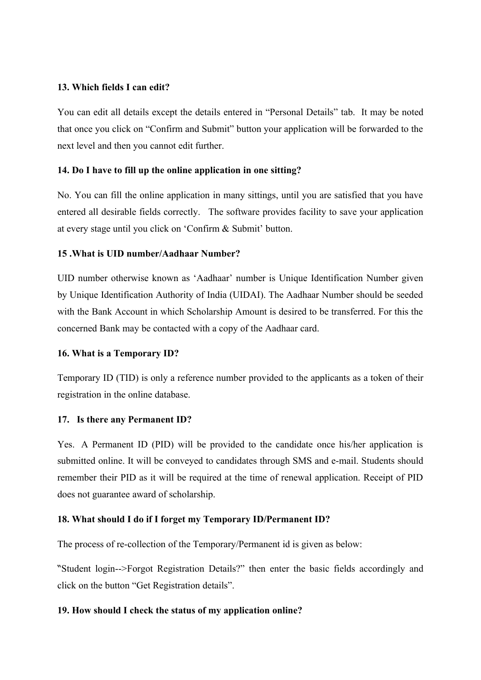#### **13. Which fields I can edit?**

You can edit all details except the details entered in "Personal Details" tab. It may be noted that once you click on "Confirm and Submit" button your application will be forwarded to the next level and then you cannot edit further.

#### **14. Do I have to fill up the online application in one sitting?**

No. You can fill the online application in many sittings, until you are satisfied that you have entered all desirable fields correctly. The software provides facility to save your application at every stage until you click on 'Confirm & Submit' button.

### **15 .What is UID number/Aadhaar Number?**

UID number otherwise known as 'Aadhaar' number is Unique Identification Number given by Unique Identification Authority of India (UIDAI). The Aadhaar Number should be seeded with the Bank Account in which Scholarship Amount is desired to be transferred. For this the concerned Bank may be contacted with a copy of the Aadhaar card.

### **16. What is a Temporary ID?**

Temporary ID (TID) is only a reference number provided to the applicants as a token of their registration in the online database.

#### **17. Is there any Permanent ID?**

Yes. A Permanent ID (PID) will be provided to the candidate once his/her application is submitted online. It will be conveyed to candidates through SMS and e-mail. Students should remember their PID as it will be required at the time of renewal application. Receipt of PID does not guarantee award of scholarship.

### **18. What should I do if I forget my Temporary ID/Permanent ID?**

The process of re-collection of the Temporary/Permanent id is given as below:

"Student login-->Forgot Registration Details?" then enter the basic fields accordingly and click on the button "Get Registration details".

### **19. How should I check the status of my application online?**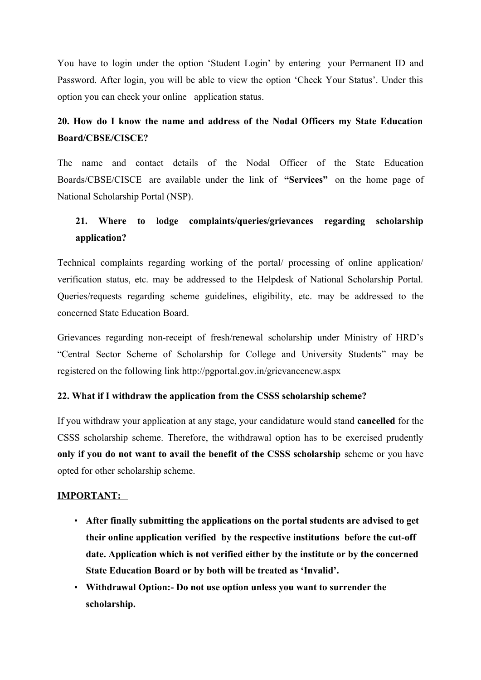You have to login under the option 'Student Login' by entering your Permanent ID and Password. After login, you will be able to view the option 'Check Your Status'. Under this option you can check your online application status.

## **20. How do I know the name and address of the Nodal Officers my State Education Board/CBSE/CISCE?**

The name and contact details of the Nodal Officer of the State Education Boards/CBSE/CISCE are available under the link of **"Services"** on the home page of National Scholarship Portal (NSP).

# **21. Where to lodge complaints/queries/grievances regarding scholarship application?**

Technical complaints regarding working of the portal/ processing of online application/ verification status, etc. may be addressed to the Helpdesk of National Scholarship Portal. Queries/requests regarding scheme guidelines, eligibility, etc. may be addressed to the concerned State Education Board.

Grievances regarding non-receipt of fresh/renewal scholarship under Ministry of HRD's "Central Sector Scheme of Scholarship for College and University Students" may be registered on the following link http://pgportal.gov.in/grievancenew.aspx

### **22. What if I withdraw the application from the CSSS scholarship scheme?**

If you withdraw your application at any stage, your candidature would stand **cancelled** for the CSSS scholarship scheme. Therefore, the withdrawal option has to be exercised prudently **only if you do not want to avail the benefit of the CSSS scholarship** scheme or you have opted for other scholarship scheme.

### **IMPORTANT:**

- **After finally submitting the applications on the portal students are advised to get their online application verified by the respective institutions before the cut-off date. Application which is not verified either by the institute or by the concerned State Education Board or by both will be treated as 'Invalid'.**
- **Withdrawal Option:- Do not use option unless you want to surrender the scholarship.**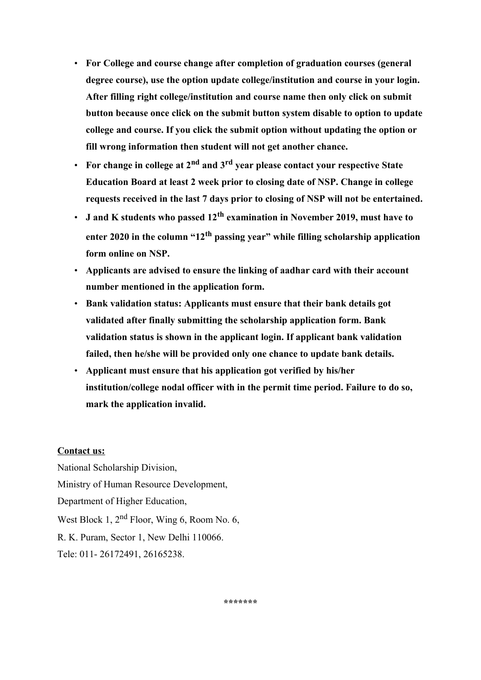- **For College and course change after completion of graduation courses (general degree course), use the option update college/institution and course in your login. After filling right college/institution and course name then only click on submit button because once click on the submit button system disable to option to update college and course. If you click the submit option without updating the option or fill wrong information then student will not get another chance.**
- **For change in college at 2nd and 3rd year please contact your respective State Education Board at least 2 week prior to closing date of NSP. Change in college requests received in the last 7 days prior to closing of NSP will not be entertained.**
- **J and K students who passed 12th examination in November 2019, must have to enter 2020 in the column "12th passing year" while filling scholarship application form online on NSP.**
- **Applicants are advised to ensure the linking of aadhar card with their account number mentioned in the application form.**
- **Bank validation status: Applicants must ensure that their bank details got validated after finally submitting the scholarship application form. Bank validation status is shown in the applicant login. If applicant bank validation failed, then he/she will be provided only one chance to update bank details.**
- **Applicant must ensure that his application got verified by his/her institution/college nodal officer with in the permit time period. Failure to do so, mark the application invalid.**

### **Contact us:**

National Scholarship Division, Ministry of Human Resource Development, Department of Higher Education, West Block 1, 2<sup>nd</sup> Floor, Wing 6, Room No. 6, R. K. Puram, Sector 1, New Delhi 110066. Tele: 011- 26172491, 26165238.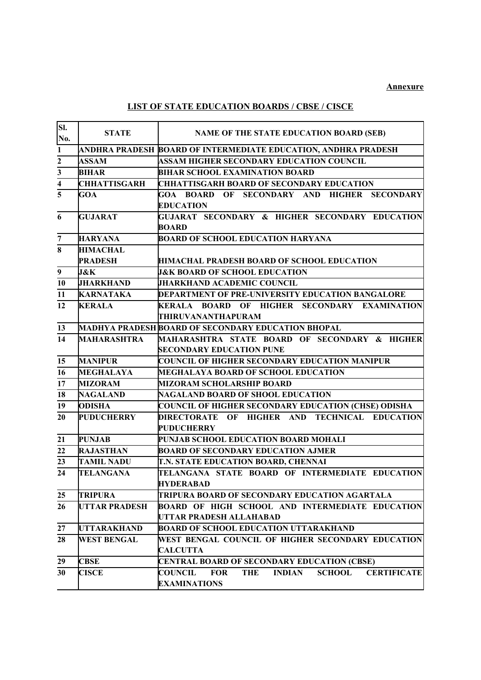#### **Annexure**

## **LIST OF STATE EDUCATION BOARDS / CBSE / CISCE**

| SI.<br>No.              | <b>STATE</b>         | <b>NAME OF THE STATE EDUCATION BOARD (SEB)</b>                                                                     |
|-------------------------|----------------------|--------------------------------------------------------------------------------------------------------------------|
| $\mathbf{1}$            |                      | ANDHRA PRADESH BOARD OF INTERMEDIATE EDUCATION, ANDHRA PRADESH                                                     |
| $\overline{2}$          | <b>ASSAM</b>         | <b>ASSAM HIGHER SECONDARY EDUCATION COUNCIL</b>                                                                    |
| $\overline{3}$          | <b>BIHAR</b>         | <b>BIHAR SCHOOL EXAMINATION BOARD</b>                                                                              |
| $\overline{\mathbf{4}}$ | <b>CHHATTISGARH</b>  | <b>CHHATTISGARH BOARD OF SECONDARY EDUCATION</b>                                                                   |
| $\overline{5}$          | <b>GOA</b>           | GOA BOARD OF SECONDARY AND HIGHER SECONDARY<br><b>EDUCATION</b>                                                    |
| 6                       | <b>GUJARAT</b>       | GUJARAT SECONDARY & HIGHER SECONDARY EDUCATION<br><b>BOARD</b>                                                     |
| $\overline{\mathbf{7}}$ | <b>HARYANA</b>       | <b>BOARD OF SCHOOL EDUCATION HARYANA</b>                                                                           |
| 8                       | <b>HIMACHAL</b>      |                                                                                                                    |
|                         | <b>PRADESH</b>       | <b>HIMACHAL PRADESH BOARD OF SCHOOL EDUCATION</b>                                                                  |
| $\boldsymbol{9}$        | <b>J&amp;K</b>       | <b>J&amp;K BOARD OF SCHOOL EDUCATION</b>                                                                           |
| 10                      | <b>JHARKHAND</b>     | <b>JHARKHAND ACADEMIC COUNCIL</b>                                                                                  |
| 11                      | <b>KARNATAKA</b>     | DEPARTMENT OF PRE-UNIVERSITY EDUCATION BANGALORE                                                                   |
| 12                      | <b>KERALA</b>        | KERALA BOARD OF HIGHER SECONDARY EXAMINATION<br>THIRUVANANTHAPURAM                                                 |
| 13                      |                      | MADHYA PRADESH BOARD OF SECONDARY EDUCATION BHOPAL                                                                 |
| 14                      | <b>MAHARASHTRA</b>   | MAHARASHTRA STATE BOARD OF SECONDARY & HIGHER<br><b>SECONDARY EDUCATION PUNE</b>                                   |
| 15                      | <b>MANIPUR</b>       | <b>COUNCIL OF HIGHER SECONDARY EDUCATION MANIPUR</b>                                                               |
| 16                      | <b>MEGHALAYA</b>     | <b>MEGHALAYA BOARD OF SCHOOL EDUCATION</b>                                                                         |
| 17                      | <b>MIZORAM</b>       | <b>MIZORAM SCHOLARSHIP BOARD</b>                                                                                   |
| 18                      | <b>NAGALAND</b>      | NAGALAND BOARD OF SHOOL EDUCATION                                                                                  |
| 19                      | <b>ODISHA</b>        | <b>COUNCIL OF HIGHER SECONDARY EDUCATION (CHSE) ODISHA</b>                                                         |
| 20                      | <b>PUDUCHERRY</b>    | DIRECTORATE<br>OF<br>HIGHER AND TECHNICAL EDUCATION<br>PUDUCHERRY                                                  |
| 21                      | <b>PUNJAB</b>        | PUNJAB SCHOOL EDUCATION BOARD MOHALI                                                                               |
| 22                      | <b>RAJASTHAN</b>     | <b>BOARD OF SECONDARY EDUCATION AJMER</b>                                                                          |
| 23                      | <b>TAMIL NADU</b>    | T.N. STATE EDUCATION BOARD, CHENNAI                                                                                |
| 24                      | TELANGANA            | TELANGANA STATE BOARD OF INTERMEDIATE EDUCATION<br><b>HYDERABAD</b>                                                |
| 25                      | <b>TRIPURA</b>       | TRIPURA BOARD OF SECONDARY EDUCATION AGARTALA                                                                      |
| 26                      | <b>UTTAR PRADESH</b> | <b>BOARD OF HIGH SCHOOL AND INTERMEDIATE EDUCATION</b><br>UTTAR PRADESH ALLAHABAD                                  |
| 27                      | <b>UTTARAKHAND</b>   | <b>BOARD OF SCHOOL EDUCATION UTTARAKHAND</b>                                                                       |
| 28                      | <b>WEST BENGAL</b>   | WEST BENGAL COUNCIL OF HIGHER SECONDARY EDUCATION<br><b>CALCUTTA</b>                                               |
| 29                      | <b>CBSE</b>          | CENTRAL BOARD OF SECONDARY EDUCATION (CBSE)                                                                        |
| 30                      | <b>CISCE</b>         | <b>THE</b><br><b>INDIAN</b><br><b>SCHOOL</b><br>COUNCIL<br><b>FOR</b><br><b>CERTIFICATE</b><br><b>EXAMINATIONS</b> |